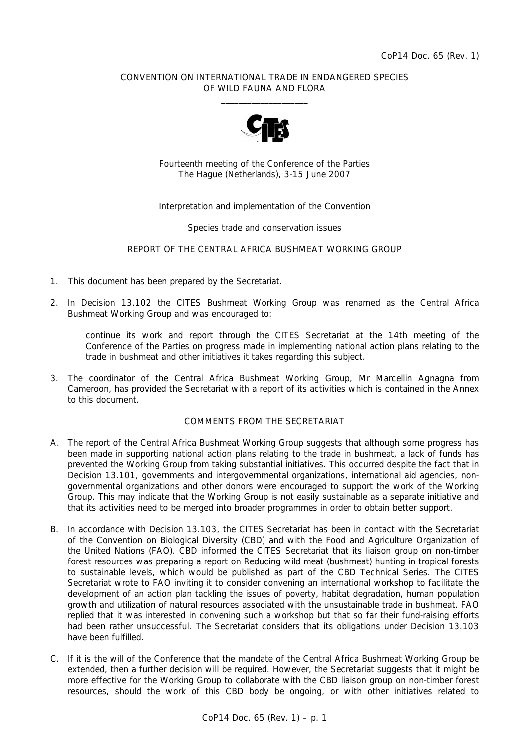### CONVENTION ON INTERNATIONAL TRADE IN ENDANGERED SPECIES OF WILD FAUNA AND FLORA  $\frac{1}{2}$  , and the set of the set of the set of the set of the set of the set of the set of the set of the set of the set of the set of the set of the set of the set of the set of the set of the set of the set of the set



Fourteenth meeting of the Conference of the Parties The Hague (Netherlands), 3-15 June 2007

# Interpretation and implementation of the Convention

#### Species trade and conservation issues

### REPORT OF THE CENTRAL AFRICA BUSHMEAT WORKING GROUP

- 1. This document has been prepared by the Secretariat.
- 2. In Decision 13.102 the CITES Bushmeat Working Group was renamed as the Central Africa Bushmeat Working Group and was encouraged to:

 *continue its work and report through the CITES Secretariat at the 14th meeting of the Conference of the Parties on progress made in implementing national action plans relating to the trade in bushmeat and other initiatives it takes regarding this subject.* 

3. The coordinator of the Central Africa Bushmeat Working Group, Mr Marcellin Agnagna from Cameroon, has provided the Secretariat with a report of its activities which is contained in the Annex to this document.

# COMMENTS FROM THE SECRETARIAT

- A. The report of the Central Africa Bushmeat Working Group suggests that although some progress has been made in supporting national action plans relating to the trade in bushmeat, a lack of funds has prevented the Working Group from taking substantial initiatives. This occurred despite the fact that in Decision 13.101, governments and intergovernmental organizations, international aid agencies, nongovernmental organizations and other donors were encouraged to support the work of the Working Group. This may indicate that the Working Group is not easily sustainable as a separate initiative and that its activities need to be merged into broader programmes in order to obtain better support.
- B. In accordance with Decision 13.103, the CITES Secretariat has been in contact with the Secretariat of the Convention on Biological Diversity (CBD) and with the Food and Agriculture Organization of the United Nations (FAO). CBD informed the CITES Secretariat that its liaison group on non-timber forest resources was preparing a report on *Reducing wild meat (bushmeat) hunting in tropical forests to sustainable levels*, which would be published as part of the CBD Technical Series. The CITES Secretariat wrote to FAO inviting it to consider convening an international workshop to facilitate the development of an action plan tackling the issues of poverty, habitat degradation, human population growth and utilization of natural resources associated with the unsustainable trade in bushmeat. FAO replied that it was interested in convening such a workshop but that so far their fund-raising efforts had been rather unsuccessful. The Secretariat considers that its obligations under Decision 13.103 have been fulfilled.
- C. If it is the will of the Conference that the mandate of the Central Africa Bushmeat Working Group be extended, then a further decision will be required. However, the Secretariat suggests that it might be more effective for the Working Group to collaborate with the CBD liaison group on non-timber forest resources, should the work of this CBD body be ongoing, or with other initiatives related to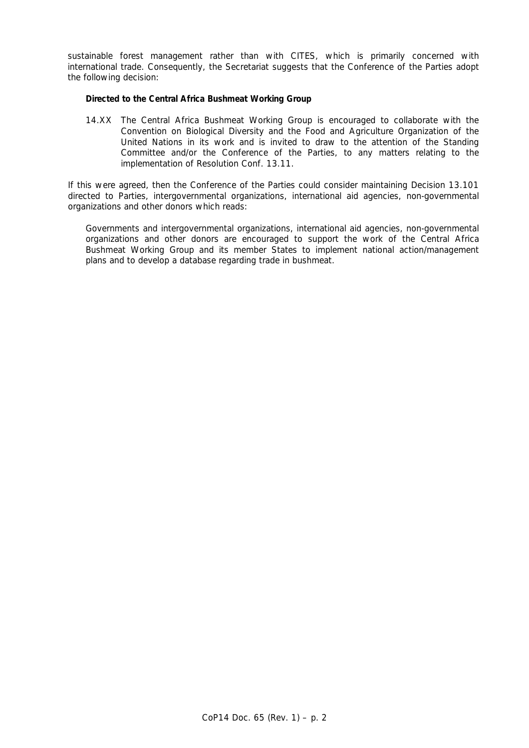sustainable forest management rather than with CITES, which is primarily concerned with international trade. Consequently, the Secretariat suggests that the Conference of the Parties adopt the following decision:

#### *Directed to the Central Africa Bushmeat Working Group*

 14.XX The Central Africa Bushmeat Working Group is encouraged to collaborate with the Convention on Biological Diversity and the Food and Agriculture Organization of the United Nations in its work and is invited to draw to the attention of the Standing Committee and/or the Conference of the Parties, to any matters relating to the implementation of Resolution Conf. 13.11.

 If this were agreed, then the Conference of the Parties could consider maintaining Decision 13.101 directed to Parties, intergovernmental organizations, international aid agencies, non-governmental organizations and other donors which reads:

 *Governments and intergovernmental organizations, international aid agencies, non-governmental organizations and other donors are encouraged to support the work of the Central Africa Bushmeat Working Group and its member States to implement national action/management plans and to develop a database regarding trade in bushmeat.*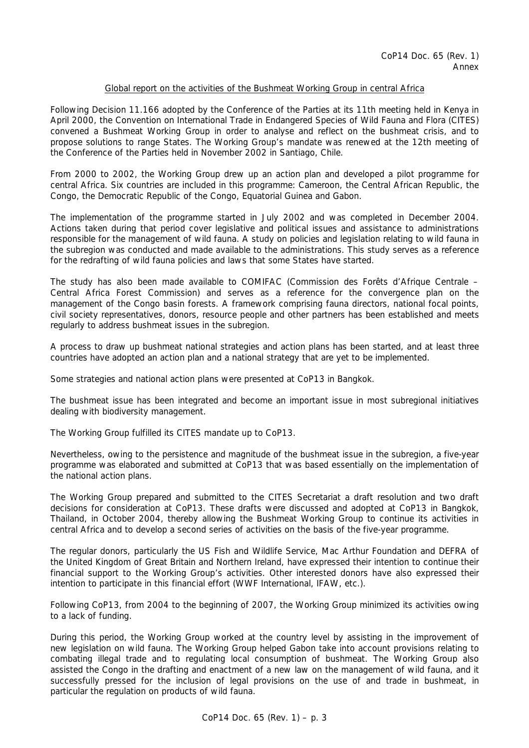### Global report on the activities of the Bushmeat Working Group in central Africa

Following Decision 11.166 adopted by the Conference of the Parties at its 11th meeting held in Kenya in April 2000, the Convention on International Trade in Endangered Species of Wild Fauna and Flora (CITES) convened a Bushmeat Working Group in order to analyse and reflect on the bushmeat crisis, and to propose solutions to range States. The Working Group's mandate was renewed at the 12th meeting of the Conference of the Parties held in November 2002 in Santiago, Chile.

From 2000 to 2002, the Working Group drew up an action plan and developed a pilot programme for central Africa. Six countries are included in this programme: Cameroon, the Central African Republic, the Congo, the Democratic Republic of the Congo, Equatorial Guinea and Gabon.

The implementation of the programme started in July 2002 and was completed in December 2004. Actions taken during that period cover legislative and political issues and assistance to administrations responsible for the management of wild fauna. A study on policies and legislation relating to wild fauna in the subregion was conducted and made available to the administrations. This study serves as a reference for the redrafting of wild fauna policies and laws that some States have started.

The study has also been made available to COMIFAC (*Commission des Forêts d'Afrique Centrale* – Central Africa Forest Commission) and serves as a reference for the convergence plan on the management of the Congo basin forests. A framework comprising fauna directors, national focal points, civil society representatives, donors, resource people and other partners has been established and meets regularly to address bushmeat issues in the subregion.

A process to draw up bushmeat national strategies and action plans has been started, and at least three countries have adopted an action plan and a national strategy that are yet to be implemented.

Some strategies and national action plans were presented at CoP13 in Bangkok.

The bushmeat issue has been integrated and become an important issue in most subregional initiatives dealing with biodiversity management.

The Working Group fulfilled its CITES mandate up to CoP13.

Nevertheless, owing to the persistence and magnitude of the bushmeat issue in the subregion, a five-year programme was elaborated and submitted at CoP13 that was based essentially on the implementation of the national action plans.

The Working Group prepared and submitted to the CITES Secretariat a draft resolution and two draft decisions for consideration at CoP13. These drafts were discussed and adopted at CoP13 in Bangkok, Thailand, in October 2004, thereby allowing the Bushmeat Working Group to continue its activities in central Africa and to develop a second series of activities on the basis of the five-year programme.

The regular donors, particularly the US Fish and Wildlife Service, Mac Arthur Foundation and DEFRA of the United Kingdom of Great Britain and Northern Ireland, have expressed their intention to continue their financial support to the Working Group's activities. Other interested donors have also expressed their intention to participate in this financial effort (WWF International, IFAW, etc.).

Following CoP13, from 2004 to the beginning of 2007, the Working Group minimized its activities owing to a lack of funding.

During this period, the Working Group worked at the country level by assisting in the improvement of new legislation on wild fauna. The Working Group helped Gabon take into account provisions relating to combating illegal trade and to regulating local consumption of bushmeat. The Working Group also assisted the Congo in the drafting and enactment of a new law on the management of wild fauna, and it successfully pressed for the inclusion of legal provisions on the use of and trade in bushmeat, in particular the regulation on products of wild fauna.